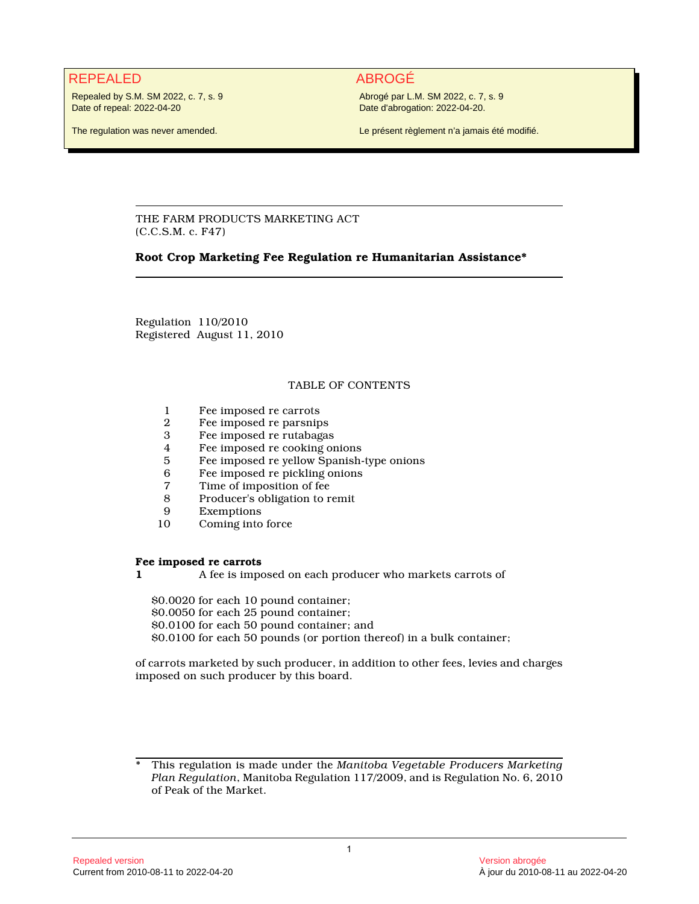# REPEALED ABROGÉ

Repealed by S.M. SM 2022, c. 7, s. 9 Date of repeal: 2022-04-20

Abrogé par L.M. SM 2022, c. 7, s. 9 Date d'abrogation: 2022-04-20.

The regulation was never amended.

Le présent règlement n'a jamais été modifié.

THE FARM PRODUCTS MARKETING ACT (C.C.S.M. c. F47)

# **Root Crop Marketing Fee Regulation re Humanitarian Assistance\***

Regulation 110/2010 Registered August 11, 2010

# TABLE OF CONTENTS

- 1 Fee imposed re carrots<br>2 Fee imposed re parsnip
- 2 Fee imposed re parsnips<br>3 Fee imposed re rutabagas
- 3 Fee imposed re rutabagas
- 4 Fee imposed re cooking onions
- 5 Fee imposed re yellow Spanish-type onions
- 6 Fee imposed re pickling onions
- 7 Time of imposition of fee<br>8 Producer's obligation to r
- 8 Producer's obligation to remit<br>9 Exemptions
- **Exemptions**
- 10 Coming into force

# **Fee imposed re carrots**

**1** A fee is imposed on each producer who markets carrots of

\$0.0020 for each 10 pound container;

\$0.0050 for each 25 pound container;

\$0.0100 for each 50 pound container; and

\$0.0100 for each 50 pounds (or portion thereof) in a bulk container;

of carrots marketed by such producer, in addition to other fees, levies and charges imposed on such producer by this board.

<sup>\*</sup> This regulation is made under the *Manitoba Vegetable Producers Marketing Plan Regulation*, Manitoba Regulation 117/2009, and is Regulation No. 6, 2010 of Peak of the Market.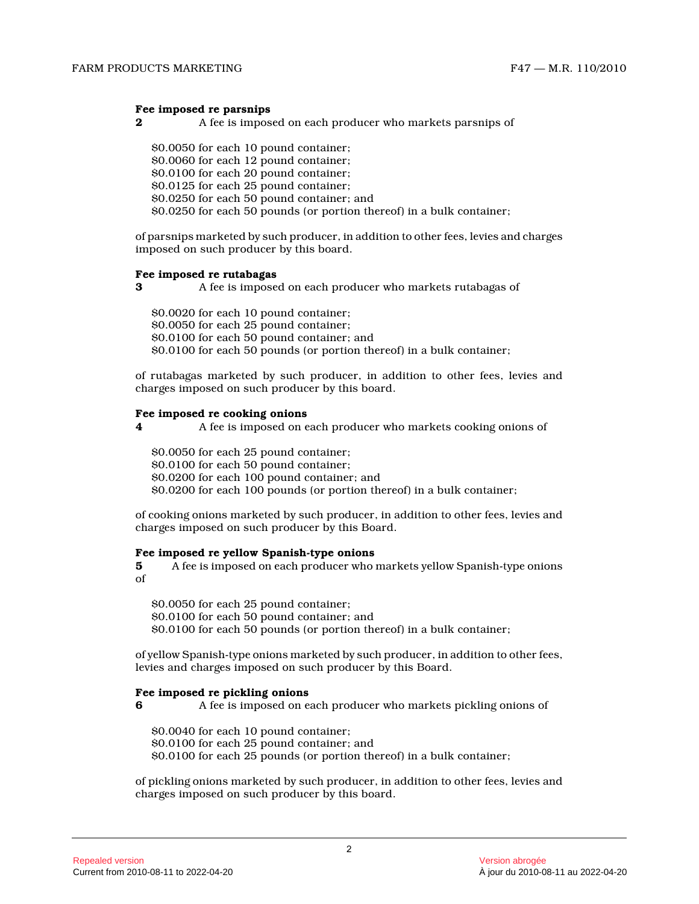# **Fee imposed re parsnips**

**2** A fee is imposed on each producer who markets parsnips of

\$0.0050 for each 10 pound container; \$0.0060 for each 12 pound container; \$0.0100 for each 20 pound container; \$0.0125 for each 25 pound container; \$0.0250 for each 50 pound container; and \$0.0250 for each 50 pounds (or portion thereof) in a bulk container;

of parsnips marketed by such producer, in addition to other fees, levies and charges imposed on such producer by this board.

# **Fee imposed re rutabagas**

**3** A fee is imposed on each producer who markets rutabagas of

\$0.0020 for each 10 pound container; \$0.0050 for each 25 pound container; \$0.0100 for each 50 pound container; and \$0.0100 for each 50 pounds (or portion thereof) in a bulk container;

of rutabagas marketed by such producer, in addition to other fees, levies and charges imposed on such producer by this board.

# **Fee imposed re cooking onions**

**4** A fee is imposed on each producer who markets cooking onions of

\$0.0050 for each 25 pound container; \$0.0100 for each 50 pound container; \$0.0200 for each 100 pound container; and \$0.0200 for each 100 pounds (or portion thereof) in a bulk container;

of cooking onions marketed by such producer, in addition to other fees, levies and charges imposed on such producer by this Board.

# **Fee imposed re yellow Spanish-type onions**

**5** A fee is imposed on each producer who markets yellow Spanish-type onions of

\$0.0050 for each 25 pound container; \$0.0100 for each 50 pound container; and \$0.0100 for each 50 pounds (or portion thereof) in a bulk container;

of yellow Spanish-type onions marketed by such producer, in addition to other fees, levies and charges imposed on such producer by this Board.

# **Fee imposed re pickling onions**

**6** A fee is imposed on each producer who markets pickling onions of

\$0.0040 for each 10 pound container;

\$0.0100 for each 25 pound container; and

\$0.0100 for each 25 pounds (or portion thereof) in a bulk container;

of pickling onions marketed by such producer, in addition to other fees, levies and charges imposed on such producer by this board.